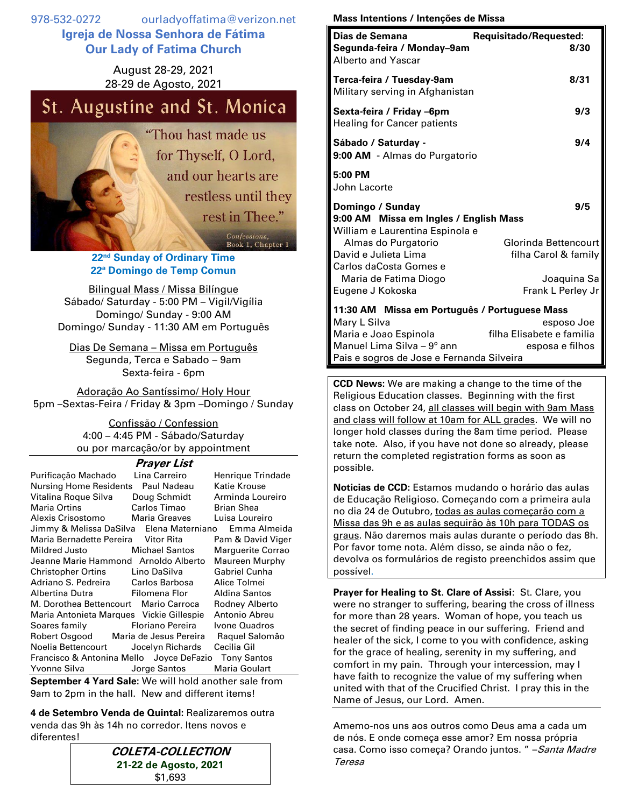978-532-0272 ourladyoffatima@verizon.net **Igreja de Nossa Senhora de Fátima Our Lady of Fatima Church**

> August 28-29, 2021 28-29 de Agosto, 2021

## St. Augustine and St. Monica

"Thou hast made us for Thyself, O Lord, and our hearts are restless until they rest in Thee." Confessions, Book 1, Chapter 1

> **22 nd Sunday of Ordinary Time 22ª Domingo de Temp Comun**

Bilingual Mass / Missa Bilíngue Sábado/ Saturday - 5:00 PM – Vigil/Vigília Domingo/ Sunday - 9:00 AM Domingo/ Sunday - 11:30 AM em Português

Dias De Semana – Missa em Português Segunda, Terca e Sabado – 9am Sexta-feira - 6pm

Adoração Ao Santíssimo/ Holy Hour 5pm –Sextas-Feira / Friday & 3pm –Domingo / Sunday

> Confissão / Confession 4:00 – 4:45 PM - Sábado/Saturday ou por marcação/or by appointment

## **Prayer List**

| Purificação Machado                                                                                 | Lina Carreiro    | Henrique Trindade |
|-----------------------------------------------------------------------------------------------------|------------------|-------------------|
| Nursing Home Residents Paul Nadeau                                                                  |                  | Katie Krouse      |
| Vitalina Roque Silva                                                                                | Doug Schmidt     | Arminda Loureiro  |
| <b>Maria Ortins</b>                                                                                 | Carlos Timao     | <b>Brian Shea</b> |
| Alexis Crisostomo Maria Greaves                                                                     |                  | Luisa Loureiro    |
| Jimmy & Melissa DaSilva Elena Materniano                                                            |                  | Emma Almeida      |
| Maria Bernadette Pereira Vitor Rita                                                                 |                  | Pam & David Viger |
| Mildred Justo Michael Santos                                                                        |                  | Marguerite Corrao |
| Jeanne Marie Hammond Arnoldo Alberto                                                                |                  | Maureen Murphy    |
| Christopher Ortins Lino DaSilva                                                                     |                  | Gabriel Cunha     |
| Adriano S. Pedreira         Carlos Barbosa                                   Carlos Barbosa         |                  | Alice Tolmei      |
| Albertina Dutra Filomena Flor                                                                       |                  | Aldina Santos     |
| M. Dorothea Bettencourt Mario Carroca                                                               |                  | Rodney Alberto    |
| Maria Antonieta Marques Vickie Gillespie                                                            |                  | Antonio Abreu     |
| Soares family <b>contains the Soares</b>                                                            | Floriano Pereira | Ivone Quadros     |
| Robert Osgood Maria de Jesus Pereira                                                                |                  | Raquel Salomão    |
| Noelia Bettencourt Jocelyn Richards                                                                 |                  | Cecilia Gil       |
| Francisco & Antonina Mello Joyce DeFazio Tony Santos                                                |                  |                   |
| Yvonne Silva borge Santos                                                                           |                  | Maria Goulart     |
| $\Omega$ and analyzed A Mand $\Omega$ also $M$ are still beginned and an analyzing $f_{\text{max}}$ |                  |                   |

**September 4 Yard Sale:** We will hold another sale from 9am to 2pm in the hall.New and different items!

**4 de Setembro Venda de Quintal:** Realizaremos outra venda das 9h às 14h no corredor. Itens novos e diferentes!

| <b>COLETA-COLLECTION</b> |  |  |
|--------------------------|--|--|
| 21-22 de Agosto, 2021    |  |  |
| \$1,693                  |  |  |

## **Mass Intentions / Intenções de Missa**

| Dias de Semana<br>Segunda-feira / Monday-9am<br><b>Alberto and Yascar</b>                     | <b>Requisitado/Requested:</b><br>8/30        |
|-----------------------------------------------------------------------------------------------|----------------------------------------------|
| Terca-feira / Tuesday-9am<br>Military serving in Afghanistan                                  | 8/31                                         |
| Sexta-feira / Friday –6pm<br><b>Healing for Cancer patients</b>                               | 9/3                                          |
| Sábado / Saturday -<br>9:00 AM - Almas do Purgatorio                                          | 9/4                                          |
| 5:00 PM<br>John Lacorte                                                                       |                                              |
| Domingo / Sunday<br>9:00 AM Missa em Ingles / English Mass<br>William e Laurentina Espinola e | 9/5                                          |
| Almas do Purgatorio<br>David e Julieta Lima<br>Carlos daCosta Gomes e                         | Glorinda Bettencourt<br>filha Carol & family |
| Maria de Fatima Diogo<br>Eugene J Kokoska                                                     | Joaquina Sa<br>Frank L Perley Jr             |
| 11:30 AM Missa em Português / Portuguese Mass<br>Mary L Silva                                 | esposo Joe                                   |

Maria e Joao Espinola filha Elisabete e familia Manuel Lima Silva –  $9^{\circ}$  ann esposa e filhos Pais e sogros de Jose e Fernanda Silveira

**CCD News:** We are making a change to the time of the Religious Education classes. Beginning with the first class on October 24, all classes will begin with 9am Mass and class will follow at 10am for ALL grades. We will no longer hold classes during the 8am time period. Please take note. Also, if you have not done so already, please return the completed registration forms as soon as possible.

**Noticias de CCD:** Estamos mudando o horário das aulas de Educação Religioso. Começando com a primeira aula no dia 24 de Outubro, todas as aulas começarão com a Missa das 9h e as aulas seguirão às 10h para TODAS os graus. Não daremos mais aulas durante o período das 8h. Por favor tome nota. Além disso, se ainda não o fez, devolva os formulários de registo preenchidos assim que possível.

**Prayer for Healing to St. Clare of Assisi**: St. Clare, you were no stranger to suffering, bearing the cross of illness for more than 28 years. Woman of hope, you teach us the secret of finding peace in our suffering. Friend and healer of the sick, I come to you with confidence, asking for the grace of healing, serenity in my suffering, and comfort in my pain. Through your intercession, may I have faith to recognize the value of my suffering when united with that of the Crucified Christ. I pray this in the Name of Jesus, our Lord. Amen.

Amemo-nos uns aos outros como Deus ama a cada um de nós. E onde começa esse amor? Em nossa própria casa. Como isso começa? Orando juntos. " - Santa Madre Teresa